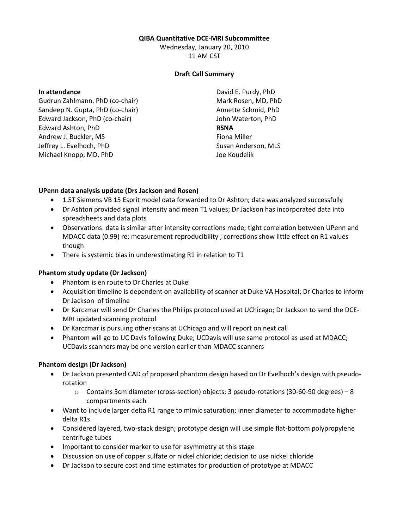#### QIBA Quantitative DCE-MRI Subcommittee

Wednesday, January 20, 2010 11 AM CST

#### Draft Call Summary

### In attendance

Gudrun Zahlmann, PhD (co-chair) Sandeep N. Gupta, PhD (co-chair) Edward Jackson, PhD (co-chair) Edward Ashton, PhD Andrew J. Buckler, MS Jeffrey L. Evelhoch, PhD Michael Knopp, MD, PhD

David E. Purdy, PhD Mark Rosen, MD, PhD Annette Schmid, PhD John Waterton, PhD RSNA Fiona Miller Susan Anderson, MLS Joe Koudelik

# UPenn data analysis update (Drs Jackson and Rosen)

- 1.5T Siemens VB 15 Esprit model data forwarded to Dr Ashton; data was analyzed successfully
- Dr Ashton provided signal intensity and mean T1 values; Dr Jackson has incorporated data into spreadsheets and data plots
- Observations: data is similar after intensity corrections made; tight correlation between UPenn and MDACC data (0.99) re: measurement reproducibility ; corrections show little effect on R1 values though
- There is systemic bias in underestimating R1 in relation to T1

# Phantom study update (Dr Jackson)

- Phantom is en route to Dr Charles at Duke
- Acquisition timeline is dependent on availability of scanner at Duke VA Hospital; Dr Charles to inform Dr Jackson of timeline
- Dr Karczmar will send Dr Charles the Philips protocol used at UChicago; Dr Jackson to send the DCE-MRI updated scanning protocol
- Dr Karczmar is pursuing other scans at UChicago and will report on next call
- Phantom will go to UC Davis following Duke; UCDavis will use same protocol as used at MDACC; UCDavis scanners may be one version earlier than MDACC scanners

# Phantom design (Dr Jackson)

- Dr Jackson presented CAD of proposed phantom design based on Dr Evelhoch's design with pseudorotation
	- o Contains 3cm diameter (cross-section) objects; 3 pseudo-rotations (30-60-90 degrees) 8 compartments each
- Want to include larger delta R1 range to mimic saturation; inner diameter to accommodate higher delta R1s
- Considered layered, two-stack design; prototype design will use simple flat-bottom polypropylene centrifuge tubes
- Important to consider marker to use for asymmetry at this stage
- Discussion on use of copper sulfate or nickel chloride; decision to use nickel chloride
- Dr Jackson to secure cost and time estimates for production of prototype at MDACC